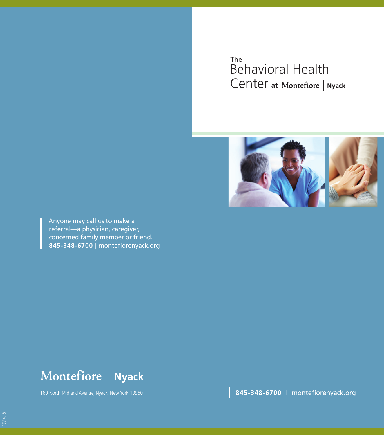#### Behavioral Health Center **at**The



Anyone may call us to make a referral—a physician, caregiver, concerned family member or friend. **845-348-6700 |** montefiorenyack.org



160 North Midland Avenue, Nyack, New York 10960

**845-348-6700** | montefiorenyack.org